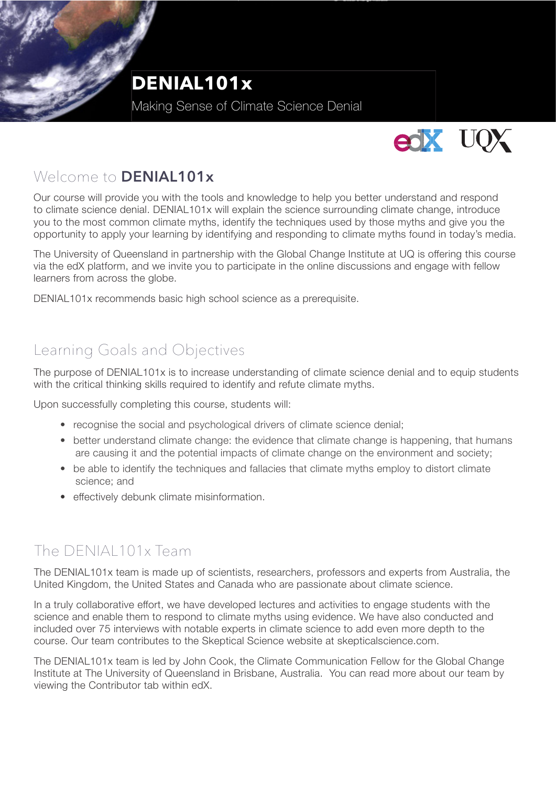

Making Sense of Climate Science Denial



### Welcome to **DENIAL101x**

Our course will provide you with the tools and knowledge to help you better understand and respond to climate science denial. DENIAL101x will explain the science surrounding climate change, introduce you to the most common climate myths, identify the techniques used by those myths and give you the opportunity to apply your learning by identifying and responding to climate myths found in today's media.

The University of Queensland in partnership with the Global Change Institute at UQ is offering this course via the edX platform, and we invite you to participate in the online discussions and engage with fellow learners from across the globe.

DENIAL101x recommends basic high school science as a prerequisite.

#### Learning Goals and Objectives

The purpose of DENIAL101x is to increase understanding of climate science denial and to equip students with the critical thinking skills required to identify and refute climate myths.

Upon successfully completing this course, students will:

- recognise the social and psychological drivers of climate science denial;
- better understand climate change: the evidence that climate change is happening, that humans are causing it and the potential impacts of climate change on the environment and society;
- be able to identify the techniques and fallacies that climate myths employ to distort climate science; and
- effectively debunk climate misinformation.

## The DENIAL101x Team

The DENIAL101x team is made up of scientists, researchers, professors and experts from Australia, the United Kingdom, the United States and Canada who are passionate about climate science.

In a truly collaborative effort, we have developed lectures and activities to engage students with the science and enable them to respond to climate myths using evidence. We have also conducted and included over 75 interviews with notable experts in climate science to add even more depth to the course. Our team contributes to the Skeptical Science website at skepticalscience.com.

The DENIAL101x team is led by John Cook, the Climate Communication Fellow for the Global Change Institute at The University of Queensland in Brisbane, Australia. You can read more about our team by viewing the Contributor tab within edX.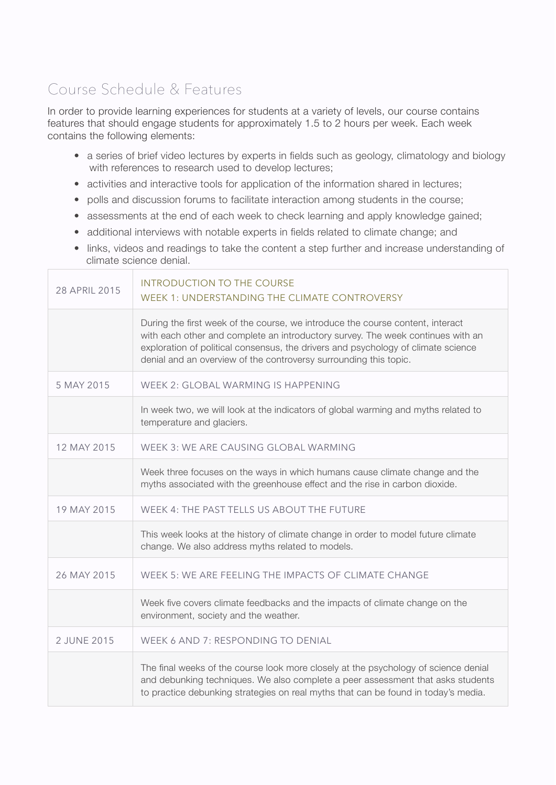# Course Schedule & Features

In order to provide learning experiences for students at a variety of levels, our course contains features that should engage students for approximately 1.5 to 2 hours per week. Each week contains the following elements:

- a series of brief video lectures by experts in fields such as geology, climatology and biology with references to research used to develop lectures;
- activities and interactive tools for application of the information shared in lectures;
- polls and discussion forums to facilitate interaction among students in the course;
- assessments at the end of each week to check learning and apply knowledge gained;
- additional interviews with notable experts in fields related to climate change; and
- links, videos and readings to take the content a step further and increase understanding of climate science denial.

| 28 APRIL 2015 | <b>INTRODUCTION TO THE COURSE</b><br>WEEK 1: UNDERSTANDING THE CLIMATE CONTROVERSY                                                                                                                                                                                                                                          |  |  |
|---------------|-----------------------------------------------------------------------------------------------------------------------------------------------------------------------------------------------------------------------------------------------------------------------------------------------------------------------------|--|--|
|               | During the first week of the course, we introduce the course content, interact<br>with each other and complete an introductory survey. The week continues with an<br>exploration of political consensus, the drivers and psychology of climate science<br>denial and an overview of the controversy surrounding this topic. |  |  |
| 5 MAY 2015    | WEEK 2: GLOBAL WARMING IS HAPPENING                                                                                                                                                                                                                                                                                         |  |  |
|               | In week two, we will look at the indicators of global warming and myths related to<br>temperature and glaciers.                                                                                                                                                                                                             |  |  |
| 12 MAY 2015   | WEEK 3: WE ARE CAUSING GLOBAL WARMING                                                                                                                                                                                                                                                                                       |  |  |
|               | Week three focuses on the ways in which humans cause climate change and the<br>myths associated with the greenhouse effect and the rise in carbon dioxide.                                                                                                                                                                  |  |  |
| 19 MAY 2015   | WEEK 4: THE PAST TELLS US ABOUT THE FUTURE                                                                                                                                                                                                                                                                                  |  |  |
|               | This week looks at the history of climate change in order to model future climate<br>change. We also address myths related to models.                                                                                                                                                                                       |  |  |
| 26 MAY 2015   | WEEK 5: WE ARE FEELING THE IMPACTS OF CLIMATE CHANGE                                                                                                                                                                                                                                                                        |  |  |
|               | Week five covers climate feedbacks and the impacts of climate change on the<br>environment, society and the weather.                                                                                                                                                                                                        |  |  |
| 2 JUNE 2015   | WEEK 6 AND 7: RESPONDING TO DENIAL                                                                                                                                                                                                                                                                                          |  |  |
|               | The final weeks of the course look more closely at the psychology of science denial<br>and debunking techniques. We also complete a peer assessment that asks students<br>to practice debunking strategies on real myths that can be found in today's media.                                                                |  |  |